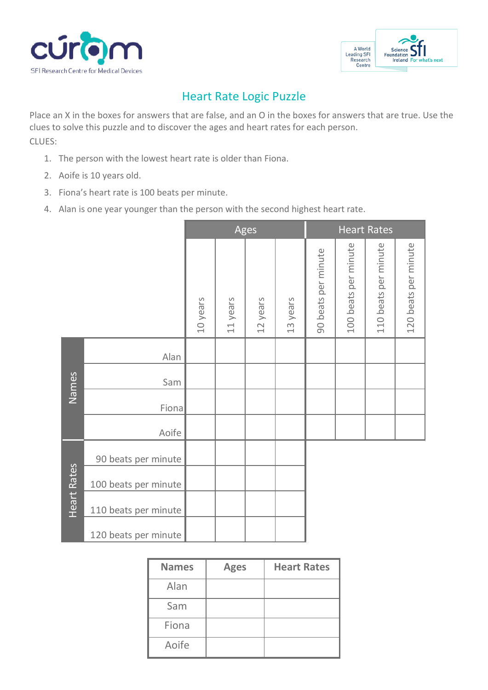



## Heart Rate Logic Puzzle

Place an X in the boxes for answers that are false, and an O in the boxes for answers that are true. Use the clues to solve this puzzle and to discover the ages and heart rates for each person. CLUES:

- 1. The person with the lowest heart rate is older than Fiona.
- 2. Aoife is 10 years old.
- 3. Fiona's heart rate is 100 beats per minute.
- 4. Alan is one year younger than the person with the second highest heart rate.

|                    |                      | Ages     |                                    |          | <b>Heart Rates</b> |                     |                      |                      |                      |
|--------------------|----------------------|----------|------------------------------------|----------|--------------------|---------------------|----------------------|----------------------|----------------------|
|                    |                      | 10 years | years<br>$\overline{\overline{L}}$ | 12 years | 13 years           | 90 beats per minute | 100 beats per minute | 110 beats per minute | 120 beats per minute |
| Names              | Alan                 |          |                                    |          |                    |                     |                      |                      |                      |
|                    | Sam                  |          |                                    |          |                    |                     |                      |                      |                      |
|                    | Fiona                |          |                                    |          |                    |                     |                      |                      |                      |
|                    | Aoife                |          |                                    |          |                    |                     |                      |                      |                      |
| <b>Heart Rates</b> | 90 beats per minute  |          |                                    |          |                    |                     |                      |                      |                      |
|                    | 100 beats per minute |          |                                    |          |                    |                     |                      |                      |                      |
|                    | 110 beats per minute |          |                                    |          |                    |                     |                      |                      |                      |
|                    | 120 beats per minute |          |                                    |          |                    |                     |                      |                      |                      |

| <b>Names</b> | <b>Ages</b> | <b>Heart Rates</b> |
|--------------|-------------|--------------------|
| Alan         |             |                    |
| Sam          |             |                    |
| Fiona        |             |                    |
| Aoife        |             |                    |